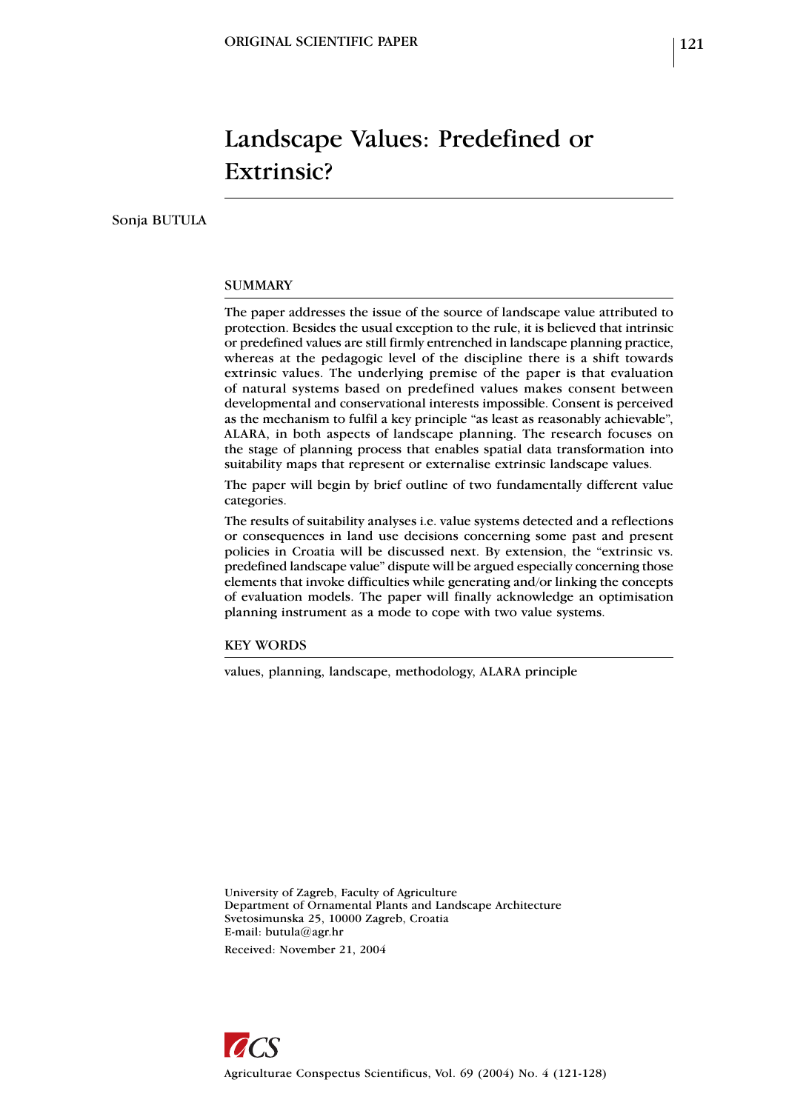# Landscape Values: Predefined or Extrinsic?

Sonja BUTULA

### **SUMMARY**

The paper addresses the issue of the source of landscape value attributed to protection. Besides the usual exception to the rule, it is believed that intrinsic or predefined values are still firmly entrenched in landscape planning practice, whereas at the pedagogic level of the discipline there is a shift towards extrinsic values. The underlying premise of the paper is that evaluation of natural systems based on predefined values makes consent between developmental and conservational interests impossible. Consent is perceived as the mechanism to fulfil a key principle "as least as reasonably achievable", ALARA, in both aspects of landscape planning. The research focuses on the stage of planning process that enables spatial data transformation into suitability maps that represent or externalise extrinsic landscape values.

The paper will begin by brief outline of two fundamentally different value categories.

The results of suitability analyses i.e. value systems detected and a reflections or consequences in land use decisions concerning some past and present policies in Croatia will be discussed next. By extension, the "extrinsic vs. predefined landscape value" dispute will be argued especially concerning those elements that invoke difficulties while generating and/or linking the concepts of evaluation models. The paper will finally acknowledge an optimisation planning instrument as a mode to cope with two value systems.

KEY WORDS

values, planning, landscape, methodology, ALARA principle

University of Zagreb, Faculty of Agriculture Department of Ornamental Plants and Landscape Architecture Svetosimunska 25, 10000 Zagreb, Croatia E-mail: butula@agr.hr Received: November 21, 2004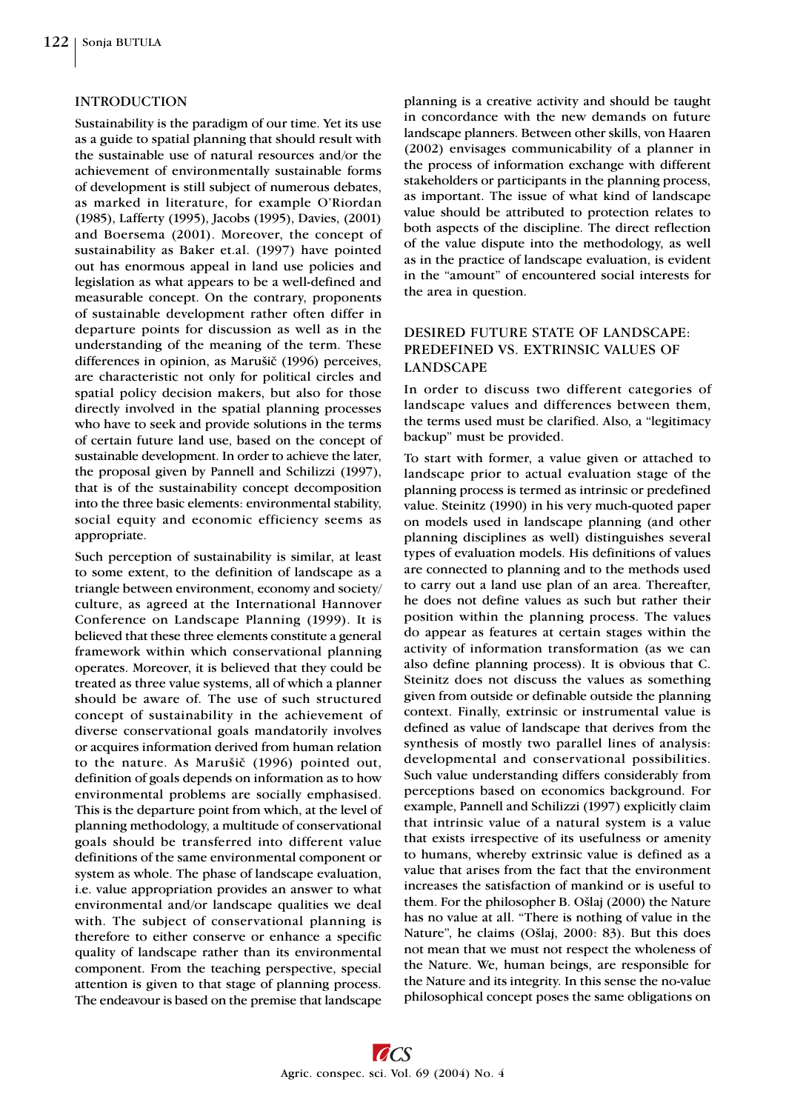#### INTRODUCTION

Sustainability is the paradigm of our time. Yet its use as a guide to spatial planning that should result with the sustainable use of natural resources and/or the achievement of environmentally sustainable forms of development is still subject of numerous debates, as marked in literature, for example O'Riordan (1985), Lafferty (1995), Jacobs (1995), Davies, (2001) and Boersema (2001). Moreover, the concept of sustainability as Baker et.al. (1997) have pointed out has enormous appeal in land use policies and legislation as what appears to be a well-defined and measurable concept. On the contrary, proponents of sustainable development rather often differ in departure points for discussion as well as in the understanding of the meaning of the term. These differences in opinion, as Marušiè (1996) perceives, are characteristic not only for political circles and spatial policy decision makers, but also for those directly involved in the spatial planning processes who have to seek and provide solutions in the terms of certain future land use, based on the concept of sustainable development. In order to achieve the later, the proposal given by Pannell and Schilizzi (1997), that is of the sustainability concept decomposition into the three basic elements: environmental stability, social equity and economic efficiency seems as appropriate.

Such perception of sustainability is similar, at least to some extent, to the definition of landscape as a triangle between environment, economy and society/ culture, as agreed at the International Hannover Conference on Landscape Planning (1999). It is believed that these three elements constitute a general framework within which conservational planning operates. Moreover, it is believed that they could be treated as three value systems, all of which a planner should be aware of. The use of such structured concept of sustainability in the achievement of diverse conservational goals mandatorily involves or acquires information derived from human relation to the nature. As Marušiè (1996) pointed out, definition of goals depends on information as to how environmental problems are socially emphasised. This is the departure point from which, at the level of planning methodology, a multitude of conservational goals should be transferred into different value definitions of the same environmental component or system as whole. The phase of landscape evaluation, i.e. value appropriation provides an answer to what environmental and/or landscape qualities we deal with. The subject of conservational planning is therefore to either conserve or enhance a specific quality of landscape rather than its environmental component. From the teaching perspective, special attention is given to that stage of planning process. The endeavour is based on the premise that landscape

planning is a creative activity and should be taught in concordance with the new demands on future landscape planners. Between other skills, von Haaren (2002) envisages communicability of a planner in the process of information exchange with different stakeholders or participants in the planning process, as important. The issue of what kind of landscape value should be attributed to protection relates to both aspects of the discipline. The direct reflection of the value dispute into the methodology, as well as in the practice of landscape evaluation, is evident in the "amount" of encountered social interests for the area in question.

## DESIRED FUTURE STATE OF LANDSCAPE: PREDEFINED VS. EXTRINSIC VALUES OF LANDSCAPE

In order to discuss two different categories of landscape values and differences between them, the terms used must be clarified. Also, a "legitimacy backup" must be provided.

To start with former, a value given or attached to landscape prior to actual evaluation stage of the planning process is termed as intrinsic or predefined value. Steinitz (1990) in his very much-quoted paper on models used in landscape planning (and other planning disciplines as well) distinguishes several types of evaluation models. His definitions of values are connected to planning and to the methods used to carry out a land use plan of an area. Thereafter, he does not define values as such but rather their position within the planning process. The values do appear as features at certain stages within the activity of information transformation (as we can also define planning process). It is obvious that C. Steinitz does not discuss the values as something given from outside or definable outside the planning context. Finally, extrinsic or instrumental value is defined as value of landscape that derives from the synthesis of mostly two parallel lines of analysis: developmental and conservational possibilities. Such value understanding differs considerably from perceptions based on economics background. For example, Pannell and Schilizzi (1997) explicitly claim that intrinsic value of a natural system is a value that exists irrespective of its usefulness or amenity to humans, whereby extrinsic value is defined as a value that arises from the fact that the environment increases the satisfaction of mankind or is useful to them. For the philosopher B. Ošlaj (2000) the Nature has no value at all. "There is nothing of value in the Nature", he claims (Ošlaj, 2000: 83). But this does not mean that we must not respect the wholeness of the Nature. We, human beings, are responsible for the Nature and its integrity. In this sense the no-value philosophical concept poses the same obligations on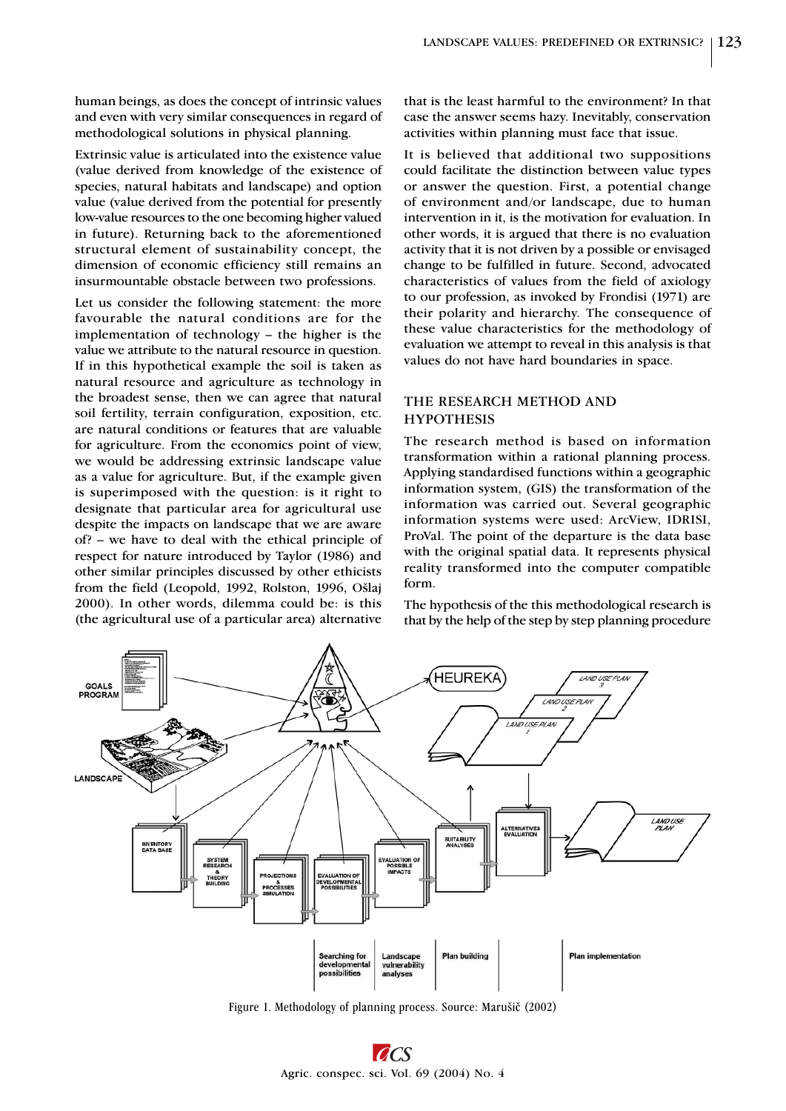human beings, as does the concept of intrinsic values and even with very similar consequences in regard of methodological solutions in physical planning.

Extrinsic value is articulated into the existence value (value derived from knowledge of the existence of species, natural habitats and landscape) and option value (value derived from the potential for presently low-value resources to the one becoming higher valued in future). Returning back to the aforementioned structural element of sustainability concept, the dimension of economic efficiency still remains an insurmountable obstacle between two professions.

Let us consider the following statement: the more favourable the natural conditions are for the implementation of technology – the higher is the value we attribute to the natural resource in question. If in this hypothetical example the soil is taken as natural resource and agriculture as technology in the broadest sense, then we can agree that natural soil fertility, terrain configuration, exposition, etc. are natural conditions or features that are valuable for agriculture. From the economics point of view, we would be addressing extrinsic landscape value as a value for agriculture. But, if the example given is superimposed with the question: is it right to designate that particular area for agricultural use despite the impacts on landscape that we are aware of? – we have to deal with the ethical principle of respect for nature introduced by Taylor (1986) and other similar principles discussed by other ethicists from the field (Leopold, 1992, Rolston, 1996, Ošlaj 2000). In other words, dilemma could be: is this (the agricultural use of a particular area) alternative

that is the least harmful to the environment? In that case the answer seems hazy. Inevitably, conservation activities within planning must face that issue.

It is believed that additional two suppositions could facilitate the distinction between value types or answer the question. First, a potential change of environment and/or landscape, due to human intervention in it, is the motivation for evaluation. In other words, it is argued that there is no evaluation activity that it is not driven by a possible or envisaged change to be fulfilled in future. Second, advocated characteristics of values from the field of axiology to our profession, as invoked by Frondisi (1971) are their polarity and hierarchy. The consequence of these value characteristics for the methodology of evaluation we attempt to reveal in this analysis is that values do not have hard boundaries in space.

## THE RESEARCH METHOD AND **HYPOTHESIS**

The research method is based on information transformation within a rational planning process. Applying standardised functions within a geographic information system, (GIS) the transformation of the information was carried out. Several geographic information systems were used: ArcView, IDRISI, ProVal. The point of the departure is the data base with the original spatial data. It represents physical reality transformed into the computer compatible form.

The hypothesis of the this methodological research is that by the help of the step by step planning procedure



Figure 1. Methodology of planning process. Source: Marušiè (2002)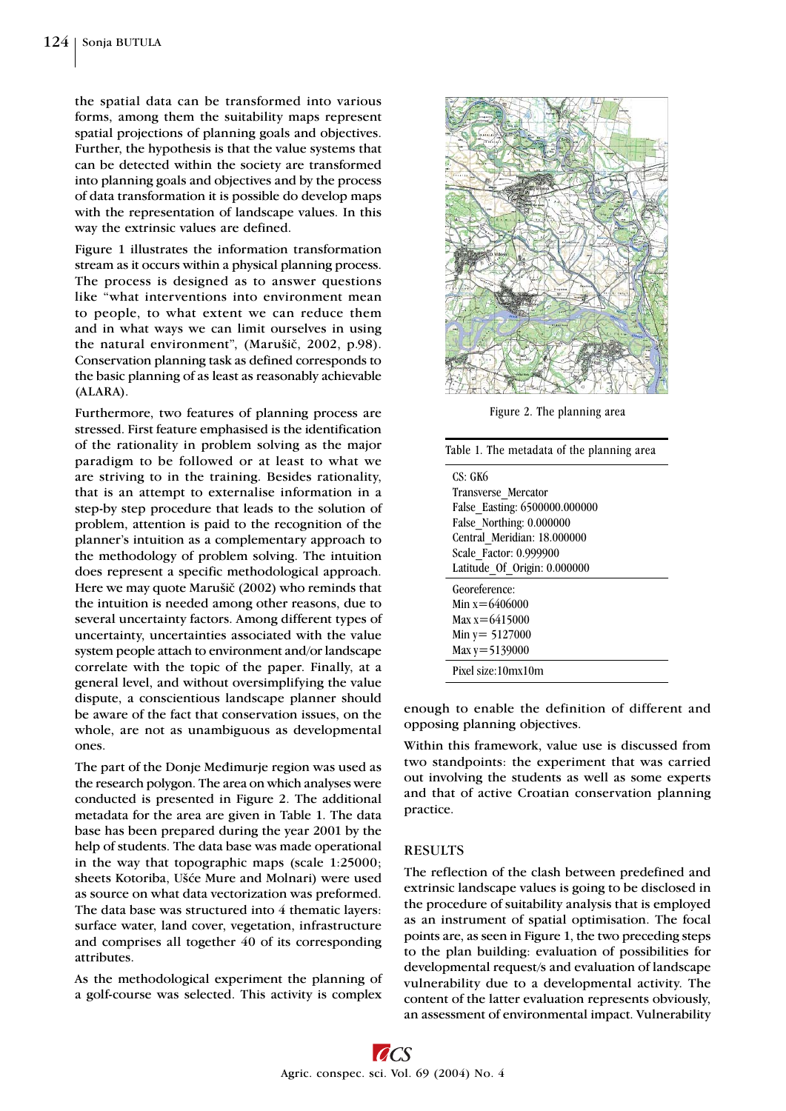the spatial data can be transformed into various forms, among them the suitability maps represent spatial projections of planning goals and objectives. Further, the hypothesis is that the value systems that can be detected within the society are transformed into planning goals and objectives and by the process of data transformation it is possible do develop maps with the representation of landscape values. In this way the extrinsic values are defined.

Figure 1 illustrates the information transformation stream as it occurs within a physical planning process. The process is designed as to answer questions like "what interventions into environment mean to people, to what extent we can reduce them and in what ways we can limit ourselves in using the natural environment", (Marušič, 2002, p.98). Conservation planning task as defined corresponds to the basic planning of as least as reasonably achievable (ALARA).

Furthermore, two features of planning process are stressed. First feature emphasised is the identification of the rationality in problem solving as the major paradigm to be followed or at least to what we are striving to in the training. Besides rationality, that is an attempt to externalise information in a step-by step procedure that leads to the solution of problem, attention is paid to the recognition of the planner's intuition as a complementary approach to the methodology of problem solving. The intuition does represent a specific methodological approach. Here we may quote Marušiè (2002) who reminds that the intuition is needed among other reasons, due to several uncertainty factors. Among different types of uncertainty, uncertainties associated with the value system people attach to environment and/or landscape correlate with the topic of the paper. Finally, at a general level, and without oversimplifying the value dispute, a conscientious landscape planner should be aware of the fact that conservation issues, on the whole, are not as unambiguous as developmental ones.

The part of the Donje Meðimurje region was used as the research polygon. The area on which analyses were conducted is presented in Figure 2. The additional metadata for the area are given in Table 1. The data base has been prepared during the year 2001 by the help of students. The data base was made operational in the way that topographic maps (scale 1:25000; sheets Kotoriba, Ušće Mure and Molnari) were used as source on what data vectorization was preformed. The data base was structured into 4 thematic layers: surface water, land cover, vegetation, infrastructure and comprises all together 40 of its corresponding attributes.

As the methodological experiment the planning of a golf-course was selected. This activity is complex



Figure 2. The planning area

| Table 1. The metadata of the planning area |
|--------------------------------------------|
| CS: GK6                                    |
| Transverse Mercator                        |
| False Easting: 6500000.000000              |
| False Northing: 0.000000                   |
| Central Meridian: 18.000000                |
| Scale Factor: 0.999900                     |
| Latitude Of Origin: 0.000000               |
| Georeference:                              |
| Min $x=6406000$                            |
| Max $x = 6415000$                          |
| Min $y = 5127000$                          |
| Max $y = 5139000$                          |
| Pixel size:10mx10m                         |
|                                            |

enough to enable the definition of different and opposing planning objectives.

Within this framework, value use is discussed from two standpoints: the experiment that was carried out involving the students as well as some experts and that of active Croatian conservation planning practice.

#### **RESULTS**

The reflection of the clash between predefined and extrinsic landscape values is going to be disclosed in the procedure of suitability analysis that is employed as an instrument of spatial optimisation. The focal points are, as seen in Figure 1, the two preceding steps to the plan building: evaluation of possibilities for developmental request/s and evaluation of landscape vulnerability due to a developmental activity. The content of the latter evaluation represents obviously, an assessment of environmental impact. Vulnerability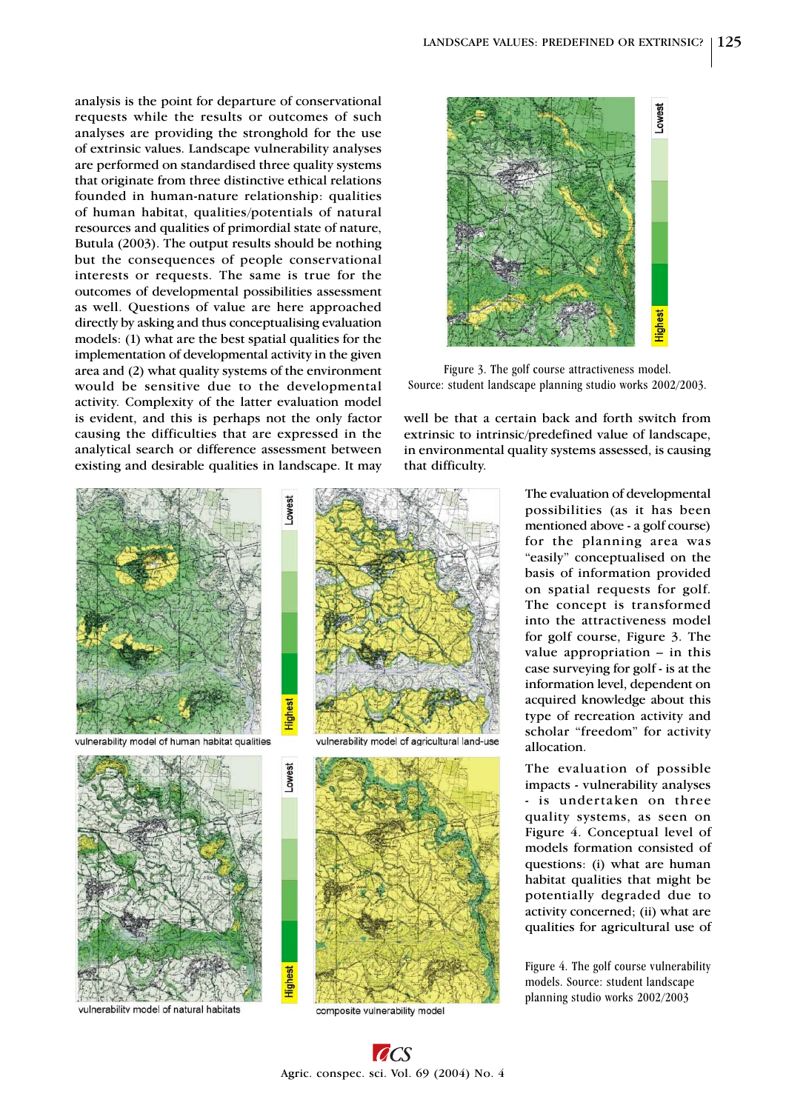analysis is the point for departure of conservational requests while the results or outcomes of such analyses are providing the stronghold for the use of extrinsic values. Landscape vulnerability analyses are performed on standardised three quality systems that originate from three distinctive ethical relations founded in human-nature relationship: qualities of human habitat, qualities/potentials of natural resources and qualities of primordial state of nature, Butula (2003). The output results should be nothing but the consequences of people conservational interests or requests. The same is true for the outcomes of developmental possibilities assessment as well. Questions of value are here approached directly by asking and thus conceptualising evaluation models: (1) what are the best spatial qualities for the implementation of developmental activity in the given area and (2) what quality systems of the environment would be sensitive due to the developmental activity. Complexity of the latter evaluation model is evident, and this is perhaps not the only factor causing the difficulties that are expressed in the analytical search or difference assessment between existing and desirable qualities in landscape. It may



vulnerability model of human habitat qualities

Highes



vulnerability model of natural habitats



vulnerability model of agricultural land-use



composite vulnerability model



Figure 3. The golf course attractiveness model. Source: student landscape planning studio works 2002/2003.

well be that a certain back and forth switch from extrinsic to intrinsic/predefined value of landscape, in environmental quality systems assessed, is causing that difficulty.

> The evaluation of developmental possibilities (as it has been mentioned above - a golf course) for the planning area was "easily" conceptualised on the basis of information provided on spatial requests for golf. The concept is transformed into the attractiveness model for golf course, Figure 3. The value appropriation – in this case surveying for golf - is at the information level, dependent on acquired knowledge about this type of recreation activity and scholar "freedom" for activity allocation.

> The evaluation of possible impacts - vulnerability analyses - is undertaken on three quality systems, as seen on Figure 4. Conceptual level of models formation consisted of questions: (i) what are human habitat qualities that might be potentially degraded due to activity concerned; (ii) what are qualities for agricultural use of

> Figure 4. The golf course vulnerability models. Source: student landscape planning studio works 2002/2003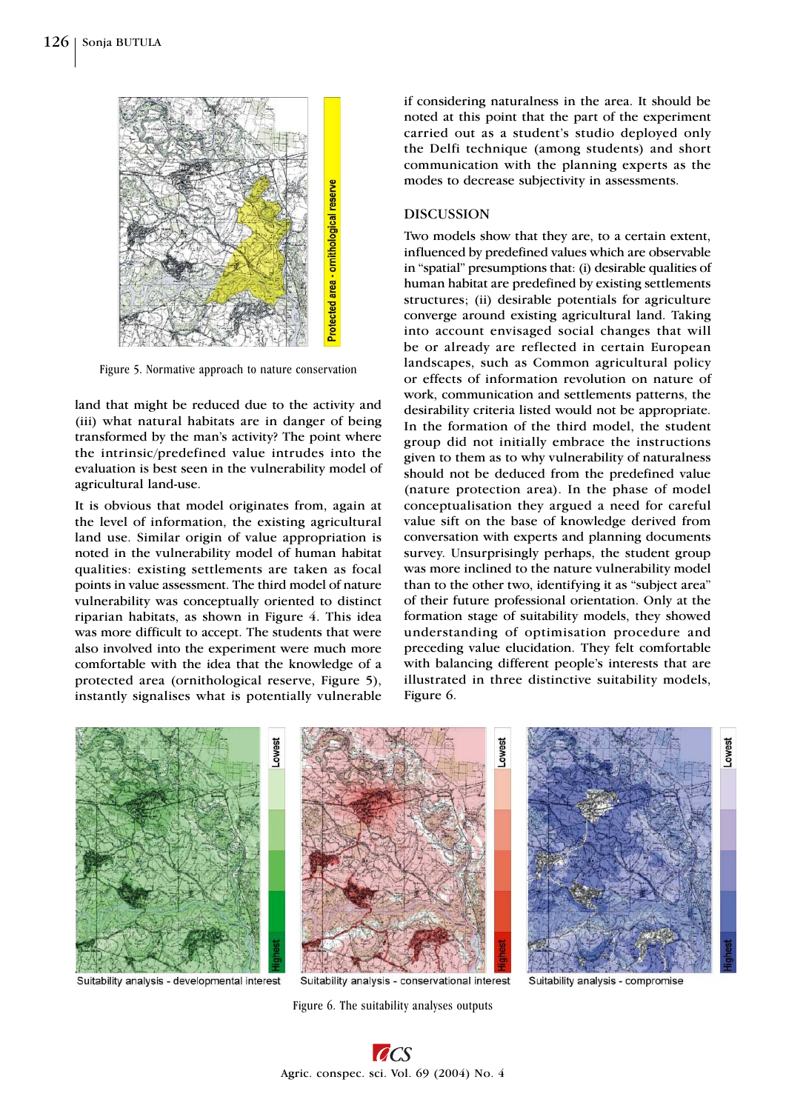

Figure 5. Normative approach to nature conservation

land that might be reduced due to the activity and (iii) what natural habitats are in danger of being transformed by the man's activity? The point where the intrinsic/predefined value intrudes into the evaluation is best seen in the vulnerability model of agricultural land-use.

It is obvious that model originates from, again at the level of information, the existing agricultural land use. Similar origin of value appropriation is noted in the vulnerability model of human habitat qualities: existing settlements are taken as focal points in value assessment. The third model of nature vulnerability was conceptually oriented to distinct riparian habitats, as shown in Figure 4. This idea was more difficult to accept. The students that were also involved into the experiment were much more comfortable with the idea that the knowledge of a protected area (ornithological reserve, Figure 5), instantly signalises what is potentially vulnerable

if considering naturalness in the area. It should be noted at this point that the part of the experiment carried out as a student's studio deployed only the Delfi technique (among students) and short communication with the planning experts as the modes to decrease subjectivity in assessments.

#### DISCUSSION

Two models show that they are, to a certain extent, influenced by predefined values which are observable in "spatial" presumptions that: (i) desirable qualities of human habitat are predefined by existing settlements structures; (ii) desirable potentials for agriculture converge around existing agricultural land. Taking into account envisaged social changes that will be or already are reflected in certain European landscapes, such as Common agricultural policy or effects of information revolution on nature of work, communication and settlements patterns, the desirability criteria listed would not be appropriate. In the formation of the third model, the student group did not initially embrace the instructions given to them as to why vulnerability of naturalness should not be deduced from the predefined value (nature protection area). In the phase of model conceptualisation they argued a need for careful value sift on the base of knowledge derived from conversation with experts and planning documents survey. Unsurprisingly perhaps, the student group was more inclined to the nature vulnerability model than to the other two, identifying it as "subject area" of their future professional orientation. Only at the formation stage of suitability models, they showed understanding of optimisation procedure and preceding value elucidation. They felt comfortable with balancing different people's interests that are illustrated in three distinctive suitability models, Figure 6.



Suitability analysis - developmental interest

Figure 6. The suitability analyses outputs

Suitability analysis - compromise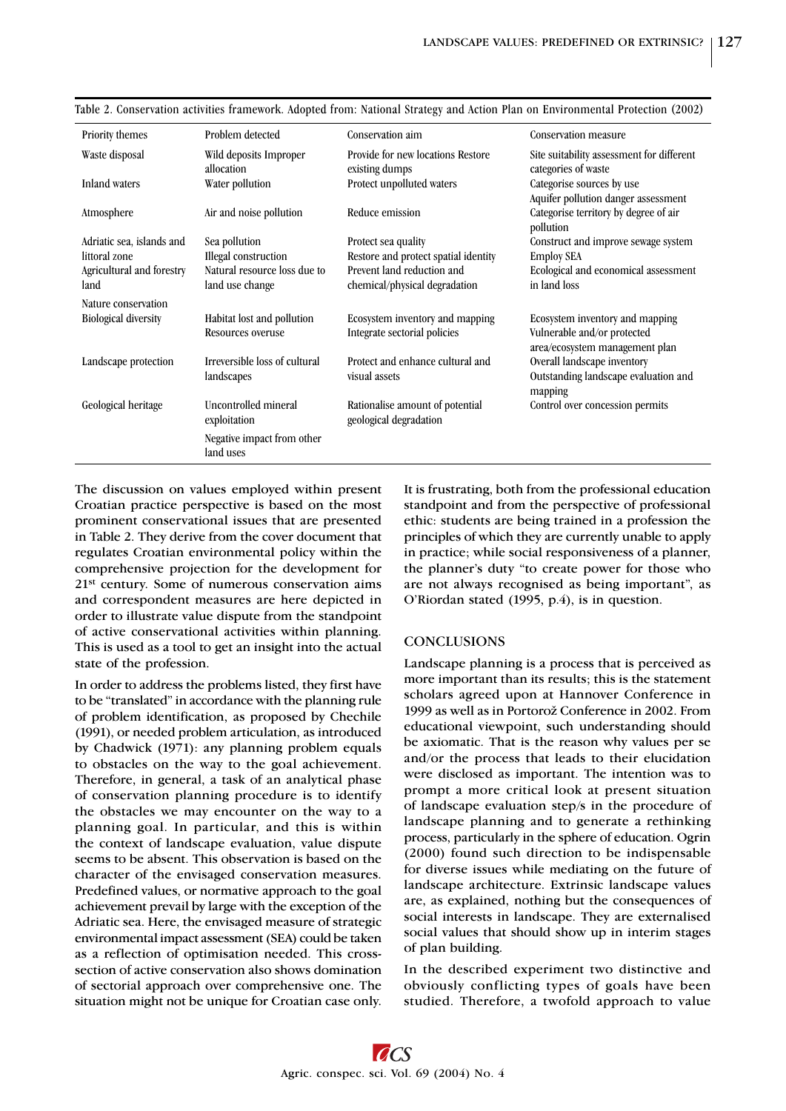| Priority themes             | Problem detected              | Conservation aim                     | Conservation measure                      |
|-----------------------------|-------------------------------|--------------------------------------|-------------------------------------------|
| Waste disposal              | Wild deposits Improper        | Provide for new locations Restore    | Site suitability assessment for different |
|                             | allocation                    | existing dumps                       | categories of waste                       |
| Inland waters               | Water pollution               | Protect unpolluted waters            | Categorise sources by use                 |
|                             |                               |                                      | Aquifer pollution danger assessment       |
| Atmosphere                  | Air and noise pollution       | Reduce emission                      | Categorise territory by degree of air     |
|                             |                               |                                      | pollution                                 |
| Adriatic sea, islands and   | Sea pollution                 | Protect sea quality                  | Construct and improve sewage system       |
| littoral zone               | Illegal construction          | Restore and protect spatial identity | <b>Employ SEA</b>                         |
| Agricultural and forestry   | Natural resource loss due to  | Prevent land reduction and           | Ecological and economical assessment      |
| land                        | land use change               | chemical/physical degradation        | in land loss                              |
| Nature conservation         |                               |                                      |                                           |
| <b>Biological diversity</b> | Habitat lost and pollution    | Ecosystem inventory and mapping      | Ecosystem inventory and mapping           |
|                             | Resources overuse             | Integrate sectorial policies         | Vulnerable and/or protected               |
|                             |                               |                                      | area/ecosystem management plan            |
| Landscape protection        | Irreversible loss of cultural | Protect and enhance cultural and     | Overall landscape inventory               |
|                             | landscapes                    | visual assets                        | Outstanding landscape evaluation and      |
|                             |                               |                                      | mapping                                   |
| Geological heritage         | Uncontrolled mineral          | Rationalise amount of potential      | Control over concession permits           |
|                             | exploitation                  | geological degradation               |                                           |
|                             |                               |                                      |                                           |
|                             | Negative impact from other    |                                      |                                           |
|                             | land uses                     |                                      |                                           |
|                             |                               |                                      |                                           |

Table 2. Conservation activities framework. Adopted from: National Strategy and Action Plan on Environmental Protection (2002)

The discussion on values employed within present Croatian practice perspective is based on the most prominent conservational issues that are presented in Table 2. They derive from the cover document that regulates Croatian environmental policy within the comprehensive projection for the development for 21st century. Some of numerous conservation aims and correspondent measures are here depicted in order to illustrate value dispute from the standpoint of active conservational activities within planning. This is used as a tool to get an insight into the actual state of the profession.

In order to address the problems listed, they first have to be "translated" in accordance with the planning rule of problem identification, as proposed by Chechile (1991), or needed problem articulation, as introduced by Chadwick (1971): any planning problem equals to obstacles on the way to the goal achievement. Therefore, in general, a task of an analytical phase of conservation planning procedure is to identify the obstacles we may encounter on the way to a planning goal. In particular, and this is within the context of landscape evaluation, value dispute seems to be absent. This observation is based on the character of the envisaged conservation measures. Predefined values, or normative approach to the goal achievement prevail by large with the exception of the Adriatic sea. Here, the envisaged measure of strategic environmental impact assessment (SEA) could be taken as a reflection of optimisation needed. This crosssection of active conservation also shows domination of sectorial approach over comprehensive one. The situation might not be unique for Croatian case only.

It is frustrating, both from the professional education standpoint and from the perspective of professional ethic: students are being trained in a profession the principles of which they are currently unable to apply in practice; while social responsiveness of a planner, the planner's duty "to create power for those who are not always recognised as being important", as O'Riordan stated (1995, p.4), is in question.

# **CONCLUSIONS**

Landscape planning is a process that is perceived as more important than its results; this is the statement scholars agreed upon at Hannover Conference in 1999 as well as in Portorož Conference in 2002. From educational viewpoint, such understanding should be axiomatic. That is the reason why values per se and/or the process that leads to their elucidation were disclosed as important. The intention was to prompt a more critical look at present situation of landscape evaluation step/s in the procedure of landscape planning and to generate a rethinking process, particularly in the sphere of education. Ogrin (2000) found such direction to be indispensable for diverse issues while mediating on the future of landscape architecture. Extrinsic landscape values are, as explained, nothing but the consequences of social interests in landscape. They are externalised social values that should show up in interim stages of plan building.

In the described experiment two distinctive and obviously conflicting types of goals have been studied. Therefore, a twofold approach to value